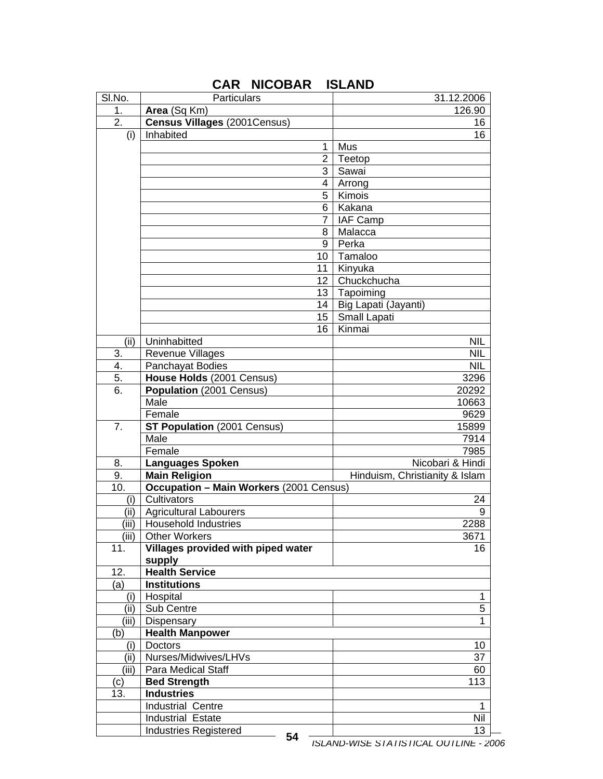| SI.No. | Particulars                                    | 31.12.2006                             |
|--------|------------------------------------------------|----------------------------------------|
| 1.     | Area (Sq Km)                                   | 126.90                                 |
| 2.     | <b>Census Villages (2001Census)</b>            | 16                                     |
| (i)    | Inhabited                                      | 16                                     |
|        | 1                                              | Mus                                    |
|        | $\overline{2}$                                 | Teetop                                 |
|        | 3                                              | Sawai                                  |
|        | 4                                              | Arrong                                 |
|        | 5                                              | Kimois                                 |
|        | 6                                              | Kakana                                 |
|        | 7                                              | <b>IAF Camp</b>                        |
|        | 8                                              | Malacca                                |
|        | 9                                              | Perka                                  |
|        | 10                                             | Tamaloo                                |
|        | 11                                             | Kinyuka                                |
|        | 12 <sub>2</sub>                                | Chuckchucha                            |
|        | 13                                             | Tapoiming                              |
|        | 14                                             | Big Lapati (Jayanti)                   |
|        | 15                                             | Small Lapati                           |
|        | 16                                             | Kinmai                                 |
| (ii)   | Uninhabitted                                   | <b>NIL</b>                             |
| 3.     | <b>Revenue Villages</b>                        | <b>NIL</b>                             |
| 4.     | Panchayat Bodies                               | <b>NIL</b>                             |
| 5.     | House Holds (2001 Census)                      | 3296                                   |
| 6.     | Population (2001 Census)                       | 20292                                  |
|        | Male                                           | 10663                                  |
|        | Female                                         | 9629                                   |
| 7.     | <b>ST Population</b> (2001 Census)             | 15899                                  |
|        | Male                                           | 7914                                   |
|        | Female                                         | 7985                                   |
| 8.     | <b>Languages Spoken</b>                        | Nicobari & Hindi                       |
| 9.     | <b>Main Religion</b>                           | Hinduism, Christianity & Islam         |
| 10.    | <b>Occupation - Main Workers (2001 Census)</b> |                                        |
| (i)    | Cultivators                                    | 24                                     |
| (iii)  | <b>Agricultural Labourers</b>                  | 9                                      |
| (iii)  | <b>Household Industries</b>                    | 2288                                   |
| (iii)  | <b>Other Workers</b>                           | 3671                                   |
| 11.    | Villages provided with piped water             | 16                                     |
|        | supply                                         |                                        |
| 12.    | <b>Health Service</b>                          |                                        |
| (a)    | <b>Institutions</b>                            |                                        |
| (i)    | Hospital                                       | 1                                      |
| (ii)   | Sub Centre                                     | 5                                      |
| (iii)  | Dispensary                                     | 1                                      |
| (b)    | <b>Health Manpower</b>                         |                                        |
| (i)    | <b>Doctors</b>                                 | 10                                     |
| (ii)   | Nurses/Midwives/LHVs                           | 37                                     |
| (iii)  | Para Medical Staff                             | 60                                     |
| (c)    | <b>Bed Strength</b>                            | 113                                    |
| 13.    | <b>Industries</b>                              |                                        |
|        | Industrial Centre                              | 1                                      |
|        | Industrial Estate                              | Nil                                    |
|        | <b>Industries Registered</b>                   | 13                                     |
|        | 54                                             | ISLAND-WISE STATISTICAL OUTLINE - 2006 |

## **CAR NICOBAR ISLAND**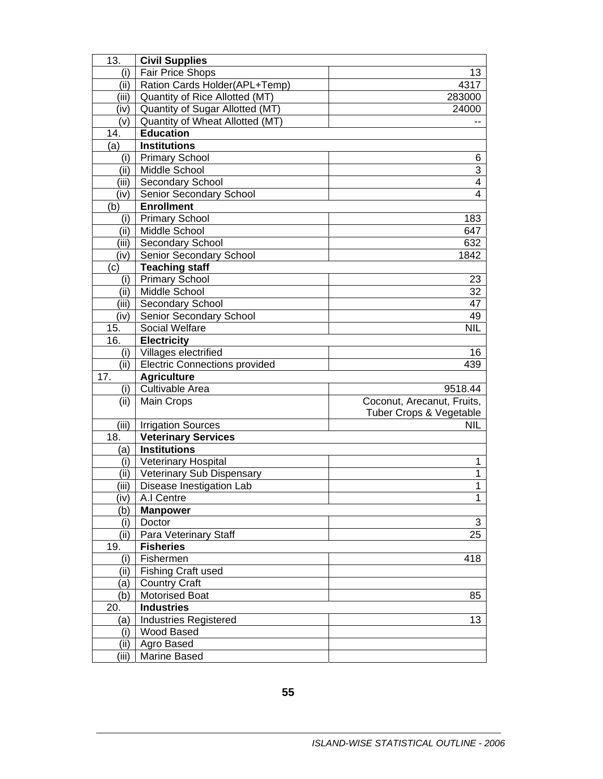| 13.        | <b>Civil Supplies</b>                             |                            |
|------------|---------------------------------------------------|----------------------------|
| (i)        | <b>Fair Price Shops</b>                           | 13                         |
| (ii)       | Ration Cards Holder(APL+Temp)                     | 4317                       |
| (iii)      | Quantity of Rice Allotted (MT)                    | 283000                     |
| (iv)       | Quantity of Sugar Allotted (MT)                   | 24000                      |
| (v)        | Quantity of Wheat Allotted (MT)                   |                            |
| 14.        | <b>Education</b>                                  |                            |
| (a)        | <b>Institutions</b>                               |                            |
| (i)        | <b>Primary School</b>                             | 6                          |
| (ii)       | <b>Middle School</b>                              | $\overline{3}$             |
| (iii)      | Secondary School                                  | 4                          |
| (iv)       | Senior Secondary School                           | $\overline{4}$             |
| (b)        | <b>Enrollment</b>                                 |                            |
| (i)        | <b>Primary School</b>                             | 183                        |
| (ii)       | Middle School                                     | 647                        |
| (iii)      | Secondary School                                  | 632                        |
| (iv)       | Senior Secondary School                           | 1842                       |
| (c)        | <b>Teaching staff</b>                             |                            |
| (i)        | <b>Primary School</b>                             | 23                         |
| (ii)       | Middle School                                     | 32                         |
| (iii)      | Secondary School                                  | 47                         |
| (iv)       | <b>Senior Secondary School</b>                    | 49                         |
| 15.        | Social Welfare                                    | <b>NIL</b>                 |
| 16.        | <b>Electricity</b>                                |                            |
| (i)        | Villages electrified                              | 16                         |
| (iii)      | <b>Electric Connections provided</b>              | 439                        |
| 17.        | <b>Agriculture</b>                                |                            |
| (i)        | Cultivable Area                                   | 9518.44                    |
| (ii)       | Main Crops                                        | Coconut, Arecanut, Fruits, |
|            |                                                   | Tuber Crops & Vegetable    |
| (iii)      | <b>Irrigation Sources</b>                         | <b>NIL</b>                 |
| 18.        | <b>Veterinary Services</b>                        |                            |
| (a)        | <b>Institutions</b>                               |                            |
| (i)        | <b>Veterinary Hospital</b>                        | 1                          |
| (ii)       | Veterinary Sub Dispensary                         | 1                          |
| (iii)      | Disease Inestigation Lab                          | 1                          |
| (iv)       | A.I Centre                                        | 1                          |
| (b)        | <b>Manpower</b>                                   |                            |
| (i)        | Doctor                                            | 3                          |
| (iii)      | Para Veterinary Staff                             | 25                         |
| 19.        | <b>Fisheries</b>                                  |                            |
| (i)        | Fishermen                                         | 418                        |
| (ii)       | <b>Fishing Craft used</b>                         |                            |
| (a)        | <b>Country Craft</b>                              |                            |
| (b)        | <b>Motorised Boat</b>                             | 85                         |
| 20.        | <b>Industries</b><br><b>Industries Registered</b> |                            |
| (a)<br>(i) | Wood Based                                        | 13                         |
| (ii)       | Agro Based                                        |                            |
| (iii)      | Marine Based                                      |                            |
|            |                                                   |                            |